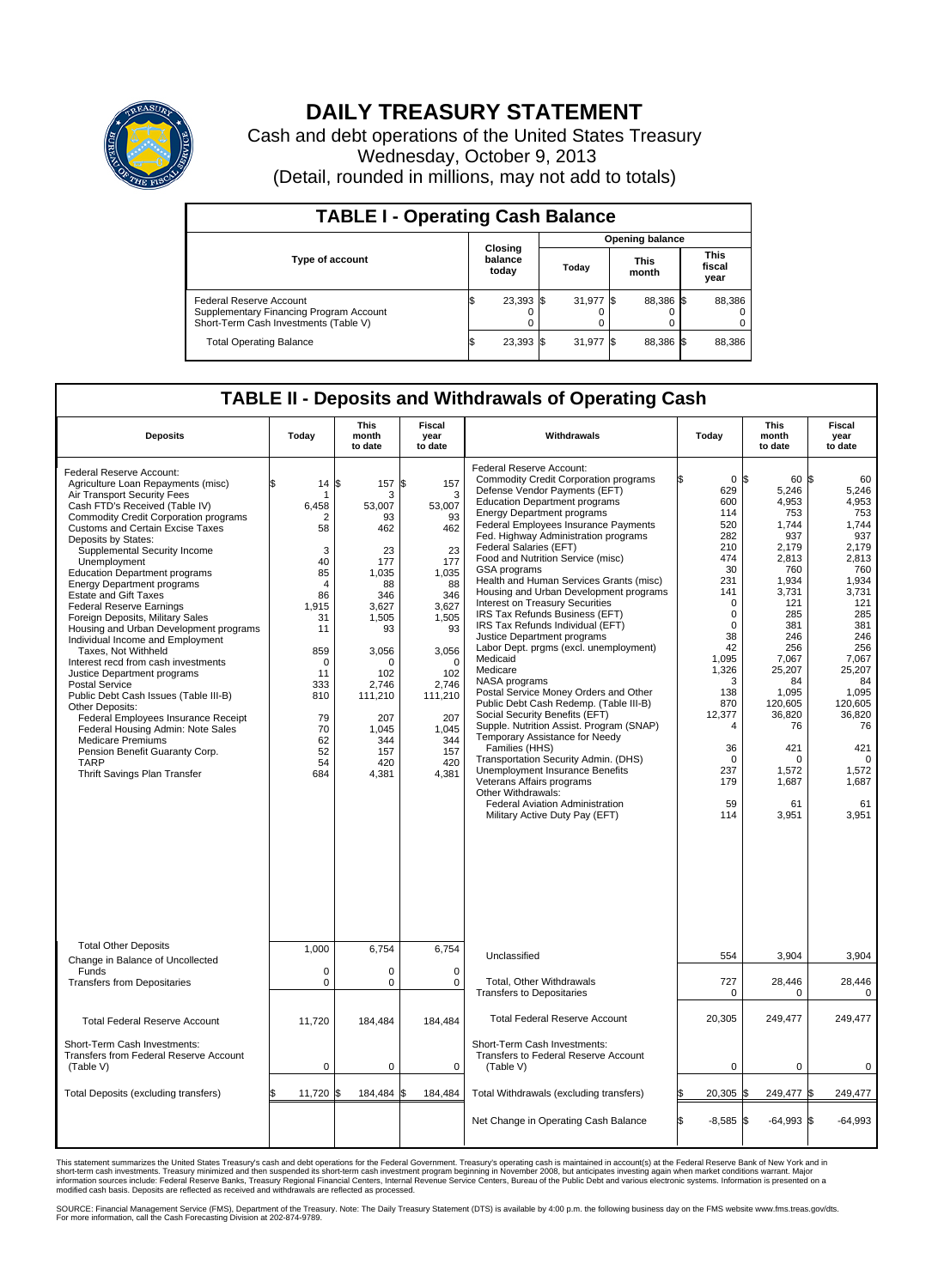

## **DAILY TREASURY STATEMENT**

Cash and debt operations of the United States Treasury Wednesday, October 9, 2013 (Detail, rounded in millions, may not add to totals)

| <b>TABLE I - Operating Cash Balance</b>                                                                     |    |                             |  |                        |  |                      |  |                               |  |  |
|-------------------------------------------------------------------------------------------------------------|----|-----------------------------|--|------------------------|--|----------------------|--|-------------------------------|--|--|
|                                                                                                             |    |                             |  | <b>Opening balance</b> |  |                      |  |                               |  |  |
| <b>Type of account</b>                                                                                      |    | Closing<br>balance<br>today |  | Today                  |  | <b>This</b><br>month |  | <b>This</b><br>fiscal<br>year |  |  |
| Federal Reserve Account<br>Supplementary Financing Program Account<br>Short-Term Cash Investments (Table V) |    | 23,393 \$                   |  | 31,977 \$              |  | 88.386 \$            |  | 88,386                        |  |  |
| <b>Total Operating Balance</b>                                                                              | ıа | 23,393 \$                   |  | 31,977 \$              |  | 88,386 \$            |  | 88,386                        |  |  |

## **TABLE II - Deposits and Withdrawals of Operating Cash**

| <b>Deposits</b>                                                                                                                                                                                                                                                                                                                                                                                                                                                                                                                                                                                                                                                                                                                                                                                                                                                                                                                         | Today                                                                                                                                                           | <b>This</b><br>month<br>to date                                                                                                                                                          | <b>Fiscal</b><br>year<br>to date                                                                                                                                                                | Withdrawals                                                                                                                                                                                                                                                                                                                                                                                                                                                                                                                                                                                                                                                                                                                                                                                                                                                                                                                                                                                                                                                                                                 | Today                                                                                                                                                                                                                                            | <b>This</b><br>month<br>to date                                                                                                                                                                                                               | <b>Fiscal</b><br>year<br>to date                                                                                                                                                                                                           |  |  |
|-----------------------------------------------------------------------------------------------------------------------------------------------------------------------------------------------------------------------------------------------------------------------------------------------------------------------------------------------------------------------------------------------------------------------------------------------------------------------------------------------------------------------------------------------------------------------------------------------------------------------------------------------------------------------------------------------------------------------------------------------------------------------------------------------------------------------------------------------------------------------------------------------------------------------------------------|-----------------------------------------------------------------------------------------------------------------------------------------------------------------|------------------------------------------------------------------------------------------------------------------------------------------------------------------------------------------|-------------------------------------------------------------------------------------------------------------------------------------------------------------------------------------------------|-------------------------------------------------------------------------------------------------------------------------------------------------------------------------------------------------------------------------------------------------------------------------------------------------------------------------------------------------------------------------------------------------------------------------------------------------------------------------------------------------------------------------------------------------------------------------------------------------------------------------------------------------------------------------------------------------------------------------------------------------------------------------------------------------------------------------------------------------------------------------------------------------------------------------------------------------------------------------------------------------------------------------------------------------------------------------------------------------------------|--------------------------------------------------------------------------------------------------------------------------------------------------------------------------------------------------------------------------------------------------|-----------------------------------------------------------------------------------------------------------------------------------------------------------------------------------------------------------------------------------------------|--------------------------------------------------------------------------------------------------------------------------------------------------------------------------------------------------------------------------------------------|--|--|
| Federal Reserve Account:<br>Agriculture Loan Repayments (misc)<br>Air Transport Security Fees<br>Cash FTD's Received (Table IV)<br><b>Commodity Credit Corporation programs</b><br><b>Customs and Certain Excise Taxes</b><br>Deposits by States:<br>Supplemental Security Income<br>Unemployment<br><b>Education Department programs</b><br><b>Energy Department programs</b><br><b>Estate and Gift Taxes</b><br><b>Federal Reserve Earnings</b><br>Foreign Deposits, Military Sales<br>Housing and Urban Development programs<br>Individual Income and Employment<br>Taxes. Not Withheld<br>Interest recd from cash investments<br>Justice Department programs<br>Postal Service<br>Public Debt Cash Issues (Table III-B)<br>Other Deposits:<br>Federal Employees Insurance Receipt<br>Federal Housing Admin: Note Sales<br><b>Medicare Premiums</b><br>Pension Benefit Guaranty Corp.<br><b>TARP</b><br>Thrift Savings Plan Transfer | \$<br>14<br>6,458<br>2<br>58<br>3<br>40<br>85<br>$\overline{4}$<br>86<br>1,915<br>31<br>11<br>859<br>0<br>11<br>333<br>810<br>79<br>70<br>62<br>52<br>54<br>684 | l\$<br>157<br>3<br>53,007<br>93<br>462<br>23<br>177<br>1.035<br>88<br>346<br>3,627<br>1,505<br>93<br>3,056<br>O<br>102<br>2,746<br>111,210<br>207<br>1,045<br>344<br>157<br>420<br>4,381 | l\$<br>157<br>3<br>53,007<br>93<br>462<br>23<br>177<br>1,035<br>88<br>346<br>3,627<br>1,505<br>93<br>3.056<br>$\Omega$<br>102<br>2,746<br>111,210<br>207<br>1,045<br>344<br>157<br>420<br>4,381 | Federal Reserve Account:<br><b>Commodity Credit Corporation programs</b><br>Defense Vendor Payments (EFT)<br><b>Education Department programs</b><br><b>Energy Department programs</b><br><b>Federal Employees Insurance Payments</b><br>Fed. Highway Administration programs<br>Federal Salaries (EFT)<br>Food and Nutrition Service (misc)<br>GSA programs<br>Health and Human Services Grants (misc)<br>Housing and Urban Development programs<br>Interest on Treasury Securities<br>IRS Tax Refunds Business (EFT)<br>IRS Tax Refunds Individual (EFT)<br>Justice Department programs<br>Labor Dept. prgms (excl. unemployment)<br>Medicaid<br>Medicare<br>NASA programs<br>Postal Service Money Orders and Other<br>Public Debt Cash Redemp. (Table III-B)<br>Social Security Benefits (EFT)<br>Supple. Nutrition Assist. Program (SNAP)<br>Temporary Assistance for Needy<br>Families (HHS)<br>Transportation Security Admin. (DHS)<br>Unemployment Insurance Benefits<br>Veterans Affairs programs<br>Other Withdrawals:<br><b>Federal Aviation Administration</b><br>Military Active Duty Pay (EFT) | $0$ \\$<br>629<br>600<br>114<br>520<br>282<br>210<br>474<br>30<br>231<br>141<br>$\Omega$<br>$\mathbf 0$<br>$\Omega$<br>38<br>42<br>1.095<br>1,326<br>3<br>138<br>870<br>12,377<br>$\overline{4}$<br>36<br>$\mathbf 0$<br>237<br>179<br>59<br>114 | 60 \$<br>5,246<br>4,953<br>753<br>1,744<br>937<br>2,179<br>2.813<br>760<br>1,934<br>3,731<br>121<br>285<br>381<br>246<br>256<br>7.067<br>25,207<br>84<br>1,095<br>120,605<br>36,820<br>76<br>421<br>$\Omega$<br>1,572<br>1,687<br>61<br>3,951 | 60<br>5,246<br>4,953<br>753<br>1,744<br>937<br>2,179<br>2,813<br>760<br>1,934<br>3,731<br>121<br>285<br>381<br>246<br>256<br>7.067<br>25,207<br>84<br>1,095<br>120.605<br>36,820<br>76<br>421<br>$\Omega$<br>1,572<br>1,687<br>61<br>3,951 |  |  |
| <b>Total Other Deposits</b><br>Change in Balance of Uncollected                                                                                                                                                                                                                                                                                                                                                                                                                                                                                                                                                                                                                                                                                                                                                                                                                                                                         | 1,000                                                                                                                                                           | 6,754                                                                                                                                                                                    | 6,754                                                                                                                                                                                           | Unclassified                                                                                                                                                                                                                                                                                                                                                                                                                                                                                                                                                                                                                                                                                                                                                                                                                                                                                                                                                                                                                                                                                                | 554                                                                                                                                                                                                                                              | 3,904                                                                                                                                                                                                                                         | 3,904                                                                                                                                                                                                                                      |  |  |
| Funds<br><b>Transfers from Depositaries</b>                                                                                                                                                                                                                                                                                                                                                                                                                                                                                                                                                                                                                                                                                                                                                                                                                                                                                             | $\mathbf 0$<br>$\mathbf 0$                                                                                                                                      | 0<br>0                                                                                                                                                                                   | $\mathbf 0$<br>$\mathbf 0$                                                                                                                                                                      | Total, Other Withdrawals<br><b>Transfers to Depositaries</b>                                                                                                                                                                                                                                                                                                                                                                                                                                                                                                                                                                                                                                                                                                                                                                                                                                                                                                                                                                                                                                                | 727<br>0                                                                                                                                                                                                                                         | 28,446<br>0                                                                                                                                                                                                                                   | 28,446<br>0                                                                                                                                                                                                                                |  |  |
| <b>Total Federal Reserve Account</b>                                                                                                                                                                                                                                                                                                                                                                                                                                                                                                                                                                                                                                                                                                                                                                                                                                                                                                    | 11,720                                                                                                                                                          | 184,484                                                                                                                                                                                  | 184,484                                                                                                                                                                                         | <b>Total Federal Reserve Account</b>                                                                                                                                                                                                                                                                                                                                                                                                                                                                                                                                                                                                                                                                                                                                                                                                                                                                                                                                                                                                                                                                        | 20,305                                                                                                                                                                                                                                           | 249,477                                                                                                                                                                                                                                       | 249,477                                                                                                                                                                                                                                    |  |  |
| Short-Term Cash Investments:<br>Transfers from Federal Reserve Account<br>(Table V)                                                                                                                                                                                                                                                                                                                                                                                                                                                                                                                                                                                                                                                                                                                                                                                                                                                     | $\pmb{0}$                                                                                                                                                       | $\mathbf 0$                                                                                                                                                                              | $\mathbf 0$                                                                                                                                                                                     | Short-Term Cash Investments:<br>Transfers to Federal Reserve Account<br>(Table V)                                                                                                                                                                                                                                                                                                                                                                                                                                                                                                                                                                                                                                                                                                                                                                                                                                                                                                                                                                                                                           | $\mathbf 0$                                                                                                                                                                                                                                      | $\mathbf 0$                                                                                                                                                                                                                                   | $\mathbf 0$                                                                                                                                                                                                                                |  |  |
| Total Deposits (excluding transfers)                                                                                                                                                                                                                                                                                                                                                                                                                                                                                                                                                                                                                                                                                                                                                                                                                                                                                                    | 11,720                                                                                                                                                          | 184,484                                                                                                                                                                                  | 184,484<br>ዴ                                                                                                                                                                                    | Total Withdrawals (excluding transfers)                                                                                                                                                                                                                                                                                                                                                                                                                                                                                                                                                                                                                                                                                                                                                                                                                                                                                                                                                                                                                                                                     | 20,305 \$                                                                                                                                                                                                                                        | 249,477 \$                                                                                                                                                                                                                                    | 249,477                                                                                                                                                                                                                                    |  |  |
|                                                                                                                                                                                                                                                                                                                                                                                                                                                                                                                                                                                                                                                                                                                                                                                                                                                                                                                                         |                                                                                                                                                                 |                                                                                                                                                                                          |                                                                                                                                                                                                 | Net Change in Operating Cash Balance                                                                                                                                                                                                                                                                                                                                                                                                                                                                                                                                                                                                                                                                                                                                                                                                                                                                                                                                                                                                                                                                        | $-8,585$ \$<br>ß.                                                                                                                                                                                                                                | $-64,993$ \$                                                                                                                                                                                                                                  | $-64,993$                                                                                                                                                                                                                                  |  |  |

This statement summarizes the United States Treasury's cash and debt operations for the Federal Government. Treasury's operating cash is maintained in account(s) at the Federal Reserve Bank of New York and in<br>short-term ca

SOURCE: Financial Management Service (FMS), Department of the Treasury. Note: The Daily Treasury Statement (DTS) is available by 4:00 p.m. the following business day on the FMS website www.fms.treas.gov/dts.<br>For more infor